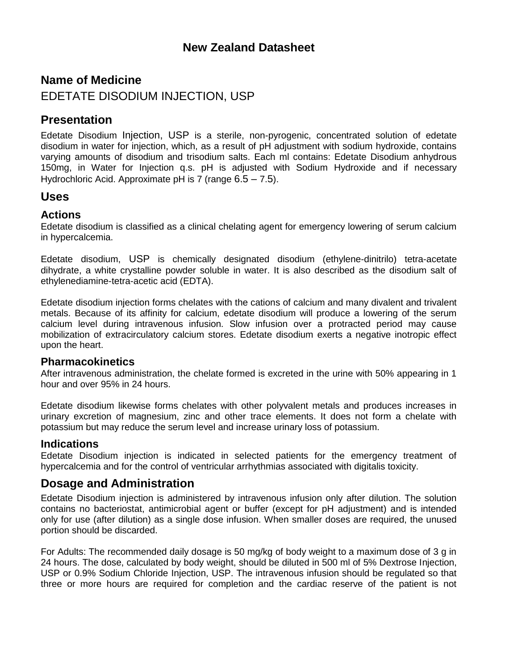## **New Zealand Datasheet**

# **Name of Medicine** EDETATE DISODIUM INJECTION, USP

## **Presentation**

Edetate Disodium Injection, USP is a sterile, non-pyrogenic, concentrated solution of edetate disodium in water for injection, which, as a result of pH adjustment with sodium hydroxide, contains varying amounts of disodium and trisodium salts. Each ml contains: Edetate Disodium anhydrous 150mg, in Water for Injection q.s. pH is adjusted with Sodium Hydroxide and if necessary Hydrochloric Acid. Approximate pH is 7 (range 6.5 – 7.5).

## **Uses**

#### **Actions**

Edetate disodium is classified as a clinical chelating agent for emergency lowering of serum calcium in hypercalcemia.

Edetate disodium, USP is chemically designated disodium (ethylene-dinitrilo) tetra-acetate dihydrate, a white crystalline powder soluble in water. It is also described as the disodium salt of ethylenediamine-tetra-acetic acid (EDTA).

Edetate disodium injection forms chelates with the cations of calcium and many divalent and trivalent metals. Because of its affinity for calcium, edetate disodium will produce a lowering of the serum calcium level during intravenous infusion. Slow infusion over a protracted period may cause mobilization of extracirculatory calcium stores. Edetate disodium exerts a negative inotropic effect upon the heart.

#### **Pharmacokinetics**

After intravenous administration, the chelate formed is excreted in the urine with 50% appearing in 1 hour and over 95% in 24 hours.

Edetate disodium likewise forms chelates with other polyvalent metals and produces increases in urinary excretion of magnesium, zinc and other trace elements. It does not form a chelate with potassium but may reduce the serum level and increase urinary loss of potassium.

#### **Indications**

Edetate Disodium injection is indicated in selected patients for the emergency treatment of hypercalcemia and for the control of ventricular arrhythmias associated with digitalis toxicity.

## **Dosage and Administration**

Edetate Disodium injection is administered by intravenous infusion only after dilution. The solution contains no bacteriostat, antimicrobial agent or buffer (except for pH adjustment) and is intended only for use (after dilution) as a single dose infusion. When smaller doses are required, the unused portion should be discarded.

For Adults: The recommended daily dosage is 50 mg/kg of body weight to a maximum dose of 3 g in 24 hours. The dose, calculated by body weight, should be diluted in 500 ml of 5% Dextrose Injection, USP or 0.9% Sodium Chloride Injection, USP. The intravenous infusion should be regulated so that three or more hours are required for completion and the cardiac reserve of the patient is not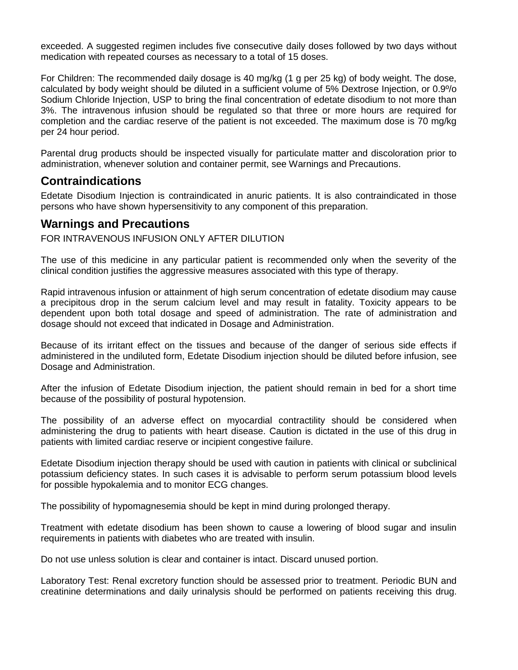exceeded. A suggested regimen includes five consecutive daily doses followed by two days without medication with repeated courses as necessary to a total of 15 doses.

For Children: The recommended daily dosage is 40 mg/kg (1 g per 25 kg) of body weight. The dose, calculated by body weight should be diluted in a sufficient volume of 5% Dextrose Injection, or 0.9º/o Sodium Chloride Injection, USP to bring the final concentration of edetate disodium to not more than 3%. The intravenous infusion should be regulated so that three or more hours are required for completion and the cardiac reserve of the patient is not exceeded. The maximum dose is 70 mg/kg per 24 hour period.

Parental drug products should be inspected visually for particulate matter and discoloration prior to administration, whenever solution and container permit, see Warnings and Precautions.

## **Contraindications**

Edetate Disodium Injection is contraindicated in anuric patients. It is also contraindicated in those persons who have shown hypersensitivity to any component of this preparation.

### **Warnings and Precautions**

FOR INTRAVENOUS INFUSION ONLY AFTER DILUTION

The use of this medicine in any particular patient is recommended only when the severity of the clinical condition justifies the aggressive measures associated with this type of therapy.

Rapid intravenous infusion or attainment of high serum concentration of edetate disodium may cause a precipitous drop in the serum calcium level and may result in fatality. Toxicity appears to be dependent upon both total dosage and speed of administration. The rate of administration and dosage should not exceed that indicated in Dosage and Administration.

Because of its irritant effect on the tissues and because of the danger of serious side effects if administered in the undiluted form, Edetate Disodium injection should be diluted before infusion, see Dosage and Administration.

After the infusion of Edetate Disodium injection, the patient should remain in bed for a short time because of the possibility of postural hypotension.

The possibility of an adverse effect on myocardial contractility should be considered when administering the drug to patients with heart disease. Caution is dictated in the use of this drug in patients with limited cardiac reserve or incipient congestive failure.

Edetate Disodium injection therapy should be used with caution in patients with clinical or subclinical potassium deficiency states. In such cases it is advisable to perform serum potassium blood levels for possible hypokalemia and to monitor ECG changes.

The possibility of hypomagnesemia should be kept in mind during prolonged therapy.

Treatment with edetate disodium has been shown to cause a lowering of blood sugar and insulin requirements in patients with diabetes who are treated with insulin.

Do not use unless solution is clear and container is intact. Discard unused portion.

Laboratory Test: Renal excretory function should be assessed prior to treatment. Periodic BUN and creatinine determinations and daily urinalysis should be performed on patients receiving this drug.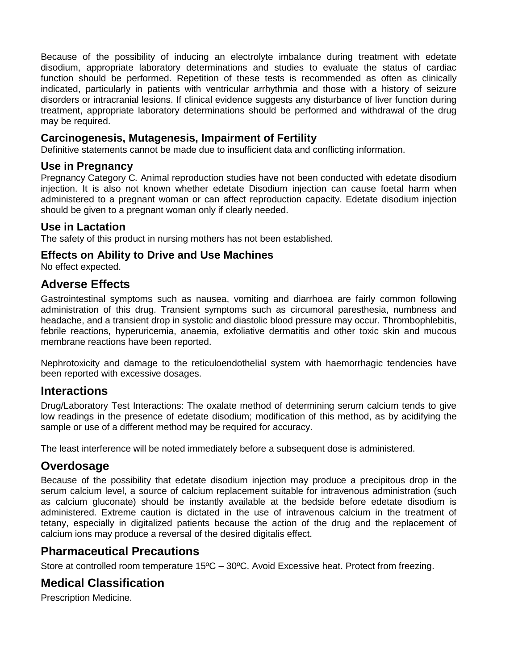Because of the possibility of inducing an electrolyte imbalance during treatment with edetate disodium, appropriate laboratory determinations and studies to evaluate the status of cardiac function should be performed. Repetition of these tests is recommended as often as clinically indicated, particularly in patients with ventricular arrhythmia and those with a history of seizure disorders or intracranial lesions. If clinical evidence suggests any disturbance of liver function during treatment, appropriate laboratory determinations should be performed and withdrawal of the drug may be required.

#### **Carcinogenesis, Mutagenesis, Impairment of Fertility**

Definitive statements cannot be made due to insufficient data and conflicting information.

#### **Use in Pregnancy**

Pregnancy Category C*.* Animal reproduction studies have not been conducted with edetate disodium injection. It is also not known whether edetate Disodium injection can cause foetal harm when administered to a pregnant woman or can affect reproduction capacity. Edetate disodium injection should be given to a pregnant woman only if clearly needed.

#### **Use in Lactation**

The safety of this product in nursing mothers has not been established.

#### **Effects on Ability to Drive and Use Machines**

No effect expected.

### **Adverse Effects**

Gastrointestinal symptoms such as nausea, vomiting and diarrhoea are fairly common following administration of this drug. Transient symptoms such as circumoral paresthesia, numbness and headache, and a transient drop in systolic and diastolic blood pressure may occur. Thrombophlebitis, febrile reactions, hyperuricemia, anaemia, exfoliative dermatitis and other toxic skin and mucous membrane reactions have been reported.

Nephrotoxicity and damage to the reticuloendothelial system with haemorrhagic tendencies have been reported with excessive dosages.

#### **Interactions**

Drug/Laboratory Test Interactions: The oxalate method of determining serum calcium tends to give low readings in the presence of edetate disodium; modification of this method, as by acidifying the sample or use of a different method may be required for accuracy.

The least interference will be noted immediately before a subsequent dose is administered.

## **Overdosage**

Because of the possibility that edetate disodium injection may produce a precipitous drop in the serum calcium level, a source of calcium replacement suitable for intravenous administration (such as calcium gluconate) should be instantly available at the bedside before edetate disodium is administered. Extreme caution is dictated in the use of intravenous calcium in the treatment of tetany, especially in digitalized patients because the action of the drug and the replacement of calcium ions may produce a reversal of the desired digitalis effect.

## **Pharmaceutical Precautions**

Store at controlled room temperature 15ºC – 30ºC. Avoid Excessive heat. Protect from freezing.

## **Medical Classification**

Prescription Medicine.